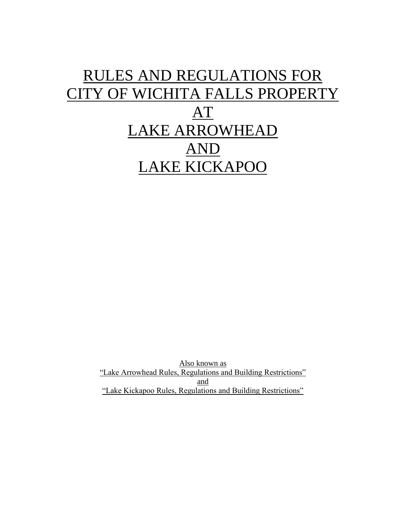# RULES AND REGULATIONS FOR CITY OF WICHITA FALLS PROPERTY AT LAKE ARROWHEAD AND LAKE KICKAPOO

Also known as "Lake Arrowhead Rules, Regulations and Building Restrictions" and "Lake Kickapoo Rules, Regulations and Building Restrictions"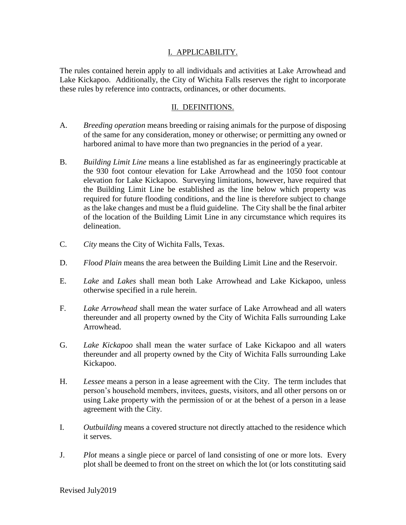### I. APPLICABILITY.

The rules contained herein apply to all individuals and activities at Lake Arrowhead and Lake Kickapoo. Additionally, the City of Wichita Falls reserves the right to incorporate these rules by reference into contracts, ordinances, or other documents.

#### II. DEFINITIONS.

- A. *Breeding operation* means breeding or raising animals for the purpose of disposing of the same for any consideration, money or otherwise; or permitting any owned or harbored animal to have more than two pregnancies in the period of a year.
- B. *Building Limit Line* means a line established as far as engineeringly practicable at the 930 foot contour elevation for Lake Arrowhead and the 1050 foot contour elevation for Lake Kickapoo. Surveying limitations, however, have required that the Building Limit Line be established as the line below which property was required for future flooding conditions, and the line is therefore subject to change as the lake changes and must be a fluid guideline. The City shall be the final arbiter of the location of the Building Limit Line in any circumstance which requires its delineation.
- C. *City* means the City of Wichita Falls, Texas.
- D. *Flood Plain* means the area between the Building Limit Line and the Reservoir.
- E. *Lake* and *Lakes* shall mean both Lake Arrowhead and Lake Kickapoo, unless otherwise specified in a rule herein.
- F. *Lake Arrowhead* shall mean the water surface of Lake Arrowhead and all waters thereunder and all property owned by the City of Wichita Falls surrounding Lake Arrowhead.
- G. *Lake Kickapoo* shall mean the water surface of Lake Kickapoo and all waters thereunder and all property owned by the City of Wichita Falls surrounding Lake Kickapoo.
- H. *Lessee* means a person in a lease agreement with the City. The term includes that person's household members, invitees, guests, visitors, and all other persons on or using Lake property with the permission of or at the behest of a person in a lease agreement with the City.
- I. *Outbuilding* means a covered structure not directly attached to the residence which it serves.
- J. *Plot* means a single piece or parcel of land consisting of one or more lots. Every plot shall be deemed to front on the street on which the lot (or lots constituting said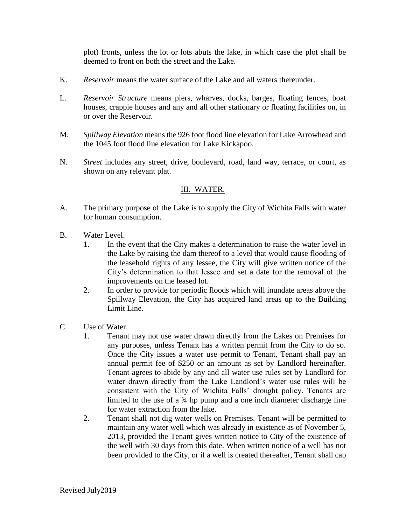plot) fronts, unless the lot or lots abuts the lake, in which case the plot shall be deemed to front on both the street and the Lake.

- K. *Reservoir* means the water surface of the Lake and all waters thereunder.
- L. *Reservoir Structure* means piers, wharves, docks, barges, floating fences, boat houses, crappie houses and any and all other stationary or floating facilities on, in or over the Reservoir.
- M. *Spillway Elevation* means the 926 foot flood line elevation for Lake Arrowhead and the 1045 foot flood line elevation for Lake Kickapoo.
- N. *Street* includes any street, drive, boulevard, road, land way, terrace, or court, as shown on any relevant plat.

# III. WATER.

- A. The primary purpose of the Lake is to supply the City of Wichita Falls with water for human consumption.
- B. Water Level.
	- 1. In the event that the City makes a determination to raise the water level in the Lake by raising the dam thereof to a level that would cause flooding of the leasehold rights of any lessee, the City will give written notice of the City's determination to that lessee and set a date for the removal of the improvements on the leased lot.
	- 2. In order to provide for periodic floods which will inundate areas above the Spillway Elevation, the City has acquired land areas up to the Building Limit Line.
- C. Use of Water.
	- 1. Tenant may not use water drawn directly from the Lakes on Premises for any purposes, unless Tenant has a written permit from the City to do so. Once the City issues a water use permit to Tenant, Tenant shall pay an annual permit fee of \$250 or an amount as set by Landlord hereinafter. Tenant agrees to abide by any and all water use rules set by Landlord for water drawn directly from the Lake Landlord's water use rules will be consistent with the City of Wichita Falls' drought policy. Tenants are limited to the use of a ¾ hp pump and a one inch diameter discharge line for water extraction from the lake.
	- 2. Tenant shall not dig water wells on Premises. Tenant will be permitted to maintain any water well which was already in existence as of November 5, 2013, provided the Tenant gives written notice to City of the existence of the well with 30 days from this date. When written notice of a well has not been provided to the City, or if a well is created thereafter, Tenant shall cap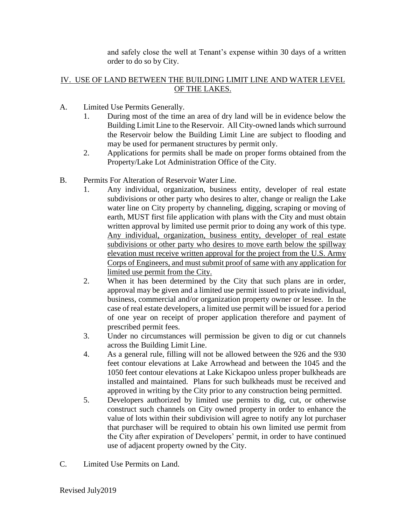and safely close the well at Tenant's expense within 30 days of a written order to do so by City.

## IV. USE OF LAND BETWEEN THE BUILDING LIMIT LINE AND WATER LEVEL OF THE LAKES.

- A. Limited Use Permits Generally.
	- 1. During most of the time an area of dry land will be in evidence below the Building Limit Line to the Reservoir. All City-owned lands which surround the Reservoir below the Building Limit Line are subject to flooding and may be used for permanent structures by permit only.
	- 2. Applications for permits shall be made on proper forms obtained from the Property/Lake Lot Administration Office of the City.
- B. Permits For Alteration of Reservoir Water Line.
	- 1. Any individual, organization, business entity, developer of real estate subdivisions or other party who desires to alter, change or realign the Lake water line on City property by channeling, digging, scraping or moving of earth, MUST first file application with plans with the City and must obtain written approval by limited use permit prior to doing any work of this type. Any individual, organization, business entity, developer of real estate subdivisions or other party who desires to move earth below the spillway elevation must receive written approval for the project from the U.S. Army Corps of Engineers, and must submit proof of same with any application for limited use permit from the City.
	- 2. When it has been determined by the City that such plans are in order, approval may be given and a limited use permit issued to private individual, business, commercial and/or organization property owner or lessee. In the case of real estate developers, a limited use permit will be issued for a period of one year on receipt of proper application therefore and payment of prescribed permit fees.
	- 3. Under no circumstances will permission be given to dig or cut channels across the Building Limit Line.
	- 4. As a general rule, filling will not be allowed between the 926 and the 930 feet contour elevations at Lake Arrowhead and between the 1045 and the 1050 feet contour elevations at Lake Kickapoo unless proper bulkheads are installed and maintained. Plans for such bulkheads must be received and approved in writing by the City prior to any construction being permitted.
	- 5. Developers authorized by limited use permits to dig, cut, or otherwise construct such channels on City owned property in order to enhance the value of lots within their subdivision will agree to notify any lot purchaser that purchaser will be required to obtain his own limited use permit from the City after expiration of Developers' permit, in order to have continued use of adjacent property owned by the City.
- C. Limited Use Permits on Land.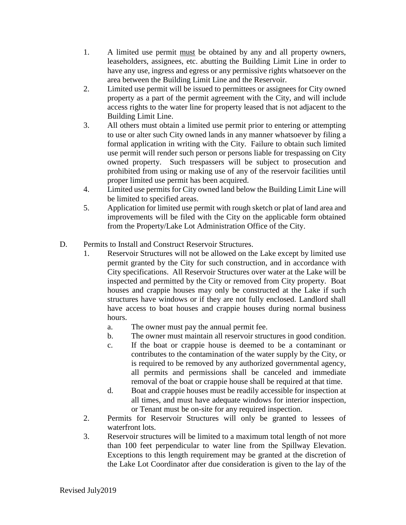- 1. A limited use permit must be obtained by any and all property owners, leaseholders, assignees, etc. abutting the Building Limit Line in order to have any use, ingress and egress or any permissive rights whatsoever on the area between the Building Limit Line and the Reservoir.
- 2. Limited use permit will be issued to permittees or assignees for City owned property as a part of the permit agreement with the City, and will include access rights to the water line for property leased that is not adjacent to the Building Limit Line.
- 3. All others must obtain a limited use permit prior to entering or attempting to use or alter such City owned lands in any manner whatsoever by filing a formal application in writing with the City. Failure to obtain such limited use permit will render such person or persons liable for trespassing on City owned property. Such trespassers will be subject to prosecution and prohibited from using or making use of any of the reservoir facilities until proper limited use permit has been acquired.
- 4. Limited use permits for City owned land below the Building Limit Line will be limited to specified areas.
- 5. Application for limited use permit with rough sketch or plat of land area and improvements will be filed with the City on the applicable form obtained from the Property/Lake Lot Administration Office of the City.
- D. Permits to Install and Construct Reservoir Structures.
	- 1. Reservoir Structures will not be allowed on the Lake except by limited use permit granted by the City for such construction, and in accordance with City specifications. All Reservoir Structures over water at the Lake will be inspected and permitted by the City or removed from City property. Boat houses and crappie houses may only be constructed at the Lake if such structures have windows or if they are not fully enclosed. Landlord shall have access to boat houses and crappie houses during normal business hours.
		- a. The owner must pay the annual permit fee.
		- b. The owner must maintain all reservoir structures in good condition.
		- c. If the boat or crappie house is deemed to be a contaminant or contributes to the contamination of the water supply by the City, or is required to be removed by any authorized governmental agency, all permits and permissions shall be canceled and immediate removal of the boat or crappie house shall be required at that time.
		- d. Boat and crappie houses must be readily accessible for inspection at all times, and must have adequate windows for interior inspection, or Tenant must be on-site for any required inspection.
	- 2. Permits for Reservoir Structures will only be granted to lessees of waterfront lots.
	- 3. Reservoir structures will be limited to a maximum total length of not more than 100 feet perpendicular to water line from the Spillway Elevation. Exceptions to this length requirement may be granted at the discretion of the Lake Lot Coordinator after due consideration is given to the lay of the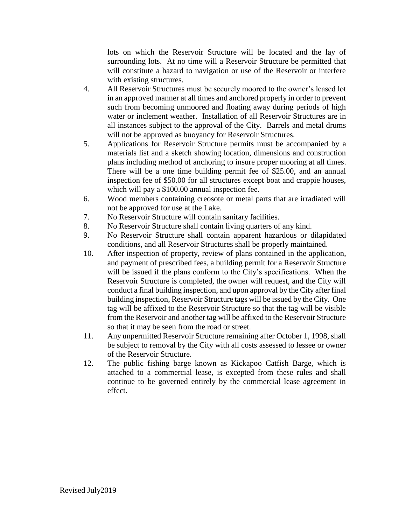lots on which the Reservoir Structure will be located and the lay of surrounding lots. At no time will a Reservoir Structure be permitted that will constitute a hazard to navigation or use of the Reservoir or interfere with existing structures.

- 4. All Reservoir Structures must be securely moored to the owner's leased lot in an approved manner at all times and anchored properly in order to prevent such from becoming unmoored and floating away during periods of high water or inclement weather. Installation of all Reservoir Structures are in all instances subject to the approval of the City. Barrels and metal drums will not be approved as buoyancy for Reservoir Structures.
- 5. Applications for Reservoir Structure permits must be accompanied by a materials list and a sketch showing location, dimensions and construction plans including method of anchoring to insure proper mooring at all times. There will be a one time building permit fee of \$25.00, and an annual inspection fee of \$50.00 for all structures except boat and crappie houses, which will pay a \$100.00 annual inspection fee.
- 6. Wood members containing creosote or metal parts that are irradiated will not be approved for use at the Lake.
- 7. No Reservoir Structure will contain sanitary facilities.
- 8. No Reservoir Structure shall contain living quarters of any kind.
- 9. No Reservoir Structure shall contain apparent hazardous or dilapidated conditions, and all Reservoir Structures shall be properly maintained.
- 10. After inspection of property, review of plans contained in the application, and payment of prescribed fees, a building permit for a Reservoir Structure will be issued if the plans conform to the City's specifications. When the Reservoir Structure is completed, the owner will request, and the City will conduct a final building inspection, and upon approval by the City after final building inspection, Reservoir Structure tags will be issued by the City. One tag will be affixed to the Reservoir Structure so that the tag will be visible from the Reservoir and another tag will be affixed to the Reservoir Structure so that it may be seen from the road or street.
- 11. Any unpermitted Reservoir Structure remaining after October 1, 1998, shall be subject to removal by the City with all costs assessed to lessee or owner of the Reservoir Structure.
- 12. The public fishing barge known as Kickapoo Catfish Barge, which is attached to a commercial lease, is excepted from these rules and shall continue to be governed entirely by the commercial lease agreement in effect.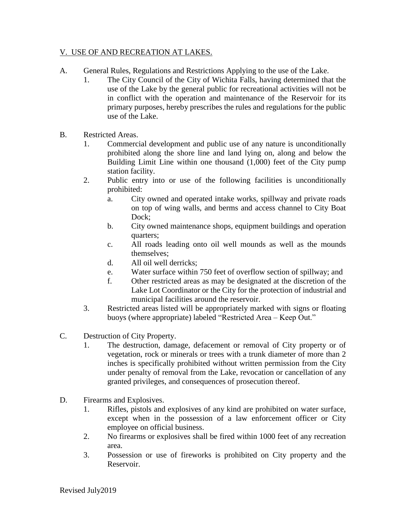### V. USE OF AND RECREATION AT LAKES.

- A. General Rules, Regulations and Restrictions Applying to the use of the Lake.
	- 1. The City Council of the City of Wichita Falls, having determined that the use of the Lake by the general public for recreational activities will not be in conflict with the operation and maintenance of the Reservoir for its primary purposes, hereby prescribes the rules and regulations for the public use of the Lake.
- B. Restricted Areas.
	- 1. Commercial development and public use of any nature is unconditionally prohibited along the shore line and land lying on, along and below the Building Limit Line within one thousand (1,000) feet of the City pump station facility.
	- 2. Public entry into or use of the following facilities is unconditionally prohibited:
		- a. City owned and operated intake works, spillway and private roads on top of wing walls, and berms and access channel to City Boat Dock;
		- b. City owned maintenance shops, equipment buildings and operation quarters;
		- c. All roads leading onto oil well mounds as well as the mounds themselves;
		- d. All oil well derricks;
		- e. Water surface within 750 feet of overflow section of spillway; and
		- f. Other restricted areas as may be designated at the discretion of the Lake Lot Coordinator or the City for the protection of industrial and municipal facilities around the reservoir.
	- 3. Restricted areas listed will be appropriately marked with signs or floating buoys (where appropriate) labeled "Restricted Area – Keep Out."
- C. Destruction of City Property.
	- 1. The destruction, damage, defacement or removal of City property or of vegetation, rock or minerals or trees with a trunk diameter of more than 2 inches is specifically prohibited without written permission from the City under penalty of removal from the Lake, revocation or cancellation of any granted privileges, and consequences of prosecution thereof.
- D. Firearms and Explosives.
	- 1. Rifles, pistols and explosives of any kind are prohibited on water surface, except when in the possession of a law enforcement officer or City employee on official business.
	- 2. No firearms or explosives shall be fired within 1000 feet of any recreation area.
	- 3. Possession or use of fireworks is prohibited on City property and the Reservoir.

Revised July2019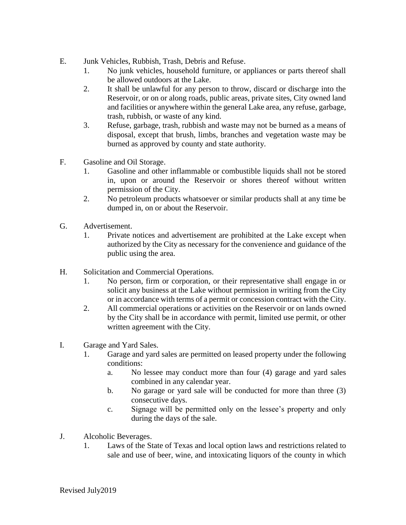- E. Junk Vehicles, Rubbish, Trash, Debris and Refuse.
	- 1. No junk vehicles, household furniture, or appliances or parts thereof shall be allowed outdoors at the Lake.
	- 2. It shall be unlawful for any person to throw, discard or discharge into the Reservoir, or on or along roads, public areas, private sites, City owned land and facilities or anywhere within the general Lake area, any refuse, garbage, trash, rubbish, or waste of any kind.
	- 3. Refuse, garbage, trash, rubbish and waste may not be burned as a means of disposal, except that brush, limbs, branches and vegetation waste may be burned as approved by county and state authority.
- F. Gasoline and Oil Storage.
	- 1. Gasoline and other inflammable or combustible liquids shall not be stored in, upon or around the Reservoir or shores thereof without written permission of the City.
	- 2. No petroleum products whatsoever or similar products shall at any time be dumped in, on or about the Reservoir.
- G. Advertisement.
	- 1. Private notices and advertisement are prohibited at the Lake except when authorized by the City as necessary for the convenience and guidance of the public using the area.
- H. Solicitation and Commercial Operations.
	- 1. No person, firm or corporation, or their representative shall engage in or solicit any business at the Lake without permission in writing from the City or in accordance with terms of a permit or concession contract with the City.
	- 2. All commercial operations or activities on the Reservoir or on lands owned by the City shall be in accordance with permit, limited use permit, or other written agreement with the City.
- I. Garage and Yard Sales.
	- 1. Garage and yard sales are permitted on leased property under the following conditions:
		- a. No lessee may conduct more than four (4) garage and yard sales combined in any calendar year.
		- b. No garage or yard sale will be conducted for more than three (3) consecutive days.
		- c. Signage will be permitted only on the lessee's property and only during the days of the sale.
- J. Alcoholic Beverages.
	- 1. Laws of the State of Texas and local option laws and restrictions related to sale and use of beer, wine, and intoxicating liquors of the county in which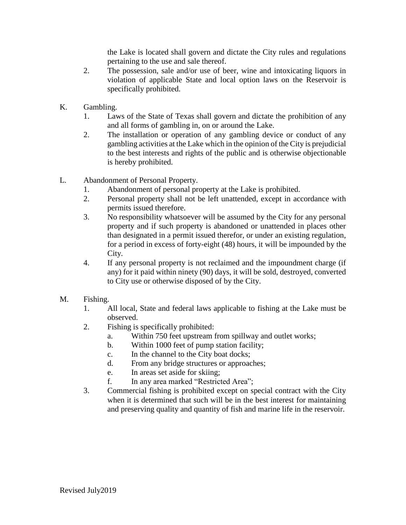the Lake is located shall govern and dictate the City rules and regulations pertaining to the use and sale thereof.

- 2. The possession, sale and/or use of beer, wine and intoxicating liquors in violation of applicable State and local option laws on the Reservoir is specifically prohibited.
- K. Gambling.
	- 1. Laws of the State of Texas shall govern and dictate the prohibition of any and all forms of gambling in, on or around the Lake.
	- 2. The installation or operation of any gambling device or conduct of any gambling activities at the Lake which in the opinion of the City is prejudicial to the best interests and rights of the public and is otherwise objectionable is hereby prohibited.
- L. Abandonment of Personal Property.
	- 1. Abandonment of personal property at the Lake is prohibited.
	- 2. Personal property shall not be left unattended, except in accordance with permits issued therefore.
	- 3. No responsibility whatsoever will be assumed by the City for any personal property and if such property is abandoned or unattended in places other than designated in a permit issued therefor, or under an existing regulation, for a period in excess of forty-eight (48) hours, it will be impounded by the City.
	- 4. If any personal property is not reclaimed and the impoundment charge (if any) for it paid within ninety (90) days, it will be sold, destroyed, converted to City use or otherwise disposed of by the City.
- M. Fishing.
	- 1. All local, State and federal laws applicable to fishing at the Lake must be observed.
	- 2. Fishing is specifically prohibited:
		- a. Within 750 feet upstream from spillway and outlet works;
		- b. Within 1000 feet of pump station facility;
		- c. In the channel to the City boat docks;
		- d. From any bridge structures or approaches;
		- e. In areas set aside for skiing;
		- f. In any area marked "Restricted Area";
	- 3. Commercial fishing is prohibited except on special contract with the City when it is determined that such will be in the best interest for maintaining and preserving quality and quantity of fish and marine life in the reservoir.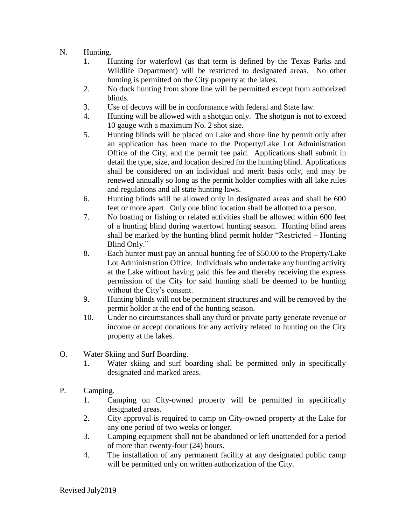# N. Hunting.

- 1. Hunting for waterfowl (as that term is defined by the Texas Parks and Wildlife Department) will be restricted to designated areas. No other hunting is permitted on the City property at the lakes.
- 2. No duck hunting from shore line will be permitted except from authorized blinds.
- 3. Use of decoys will be in conformance with federal and State law.
- 4. Hunting will be allowed with a shotgun only. The shotgun is not to exceed 10 gauge with a maximum No. 2 shot size.
- 5. Hunting blinds will be placed on Lake and shore line by permit only after an application has been made to the Property/Lake Lot Administration Office of the City, and the permit fee paid. Applications shall submit in detail the type, size, and location desired for the hunting blind. Applications shall be considered on an individual and merit basis only, and may be renewed annually so long as the permit holder complies with all lake rules and regulations and all state hunting laws.
- 6. Hunting blinds will be allowed only in designated areas and shall be 600 feet or more apart. Only one blind location shall be allotted to a person.
- 7. No boating or fishing or related activities shall be allowed within 600 feet of a hunting blind during waterfowl hunting season. Hunting blind areas shall be marked by the hunting blind permit holder "Restricted – Hunting Blind Only."
- 8. Each hunter must pay an annual hunting fee of \$50.00 to the Property/Lake Lot Administration Office. Individuals who undertake any hunting activity at the Lake without having paid this fee and thereby receiving the express permission of the City for said hunting shall be deemed to be hunting without the City's consent.
- 9. Hunting blinds will not be permanent structures and will be removed by the permit holder at the end of the hunting season.
- 10. Under no circumstances shall any third or private party generate revenue or income or accept donations for any activity related to hunting on the City property at the lakes.
- O. Water Skiing and Surf Boarding.
	- 1. Water skiing and surf boarding shall be permitted only in specifically designated and marked areas.
- P. Camping.
	- 1. Camping on City-owned property will be permitted in specifically designated areas.
	- 2. City approval is required to camp on City-owned property at the Lake for any one period of two weeks or longer.
	- 3. Camping equipment shall not be abandoned or left unattended for a period of more than twenty-four (24) hours.
	- 4. The installation of any permanent facility at any designated public camp will be permitted only on written authorization of the City.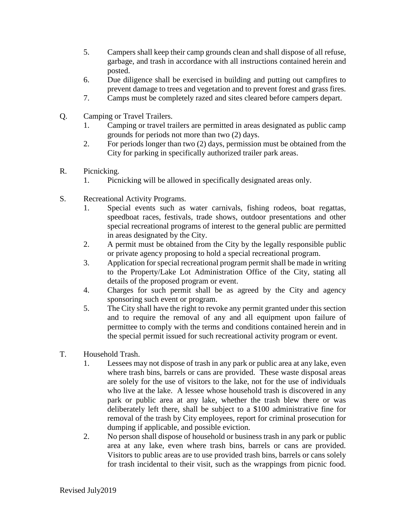- 5. Campers shall keep their camp grounds clean and shall dispose of all refuse, garbage, and trash in accordance with all instructions contained herein and posted.
- 6. Due diligence shall be exercised in building and putting out campfires to prevent damage to trees and vegetation and to prevent forest and grass fires.
- 7. Camps must be completely razed and sites cleared before campers depart.
- Q. Camping or Travel Trailers.
	- 1. Camping or travel trailers are permitted in areas designated as public camp grounds for periods not more than two (2) days.
	- 2. For periods longer than two (2) days, permission must be obtained from the City for parking in specifically authorized trailer park areas.
- R. Picnicking.
	- 1. Picnicking will be allowed in specifically designated areas only.
- S. Recreational Activity Programs.
	- 1. Special events such as water carnivals, fishing rodeos, boat regattas, speedboat races, festivals, trade shows, outdoor presentations and other special recreational programs of interest to the general public are permitted in areas designated by the City.
	- 2. A permit must be obtained from the City by the legally responsible public or private agency proposing to hold a special recreational program.
	- 3. Application for special recreational program permit shall be made in writing to the Property/Lake Lot Administration Office of the City, stating all details of the proposed program or event.
	- 4. Charges for such permit shall be as agreed by the City and agency sponsoring such event or program.
	- 5. The City shall have the right to revoke any permit granted under this section and to require the removal of any and all equipment upon failure of permittee to comply with the terms and conditions contained herein and in the special permit issued for such recreational activity program or event.
- T. Household Trash.
	- 1. Lessees may not dispose of trash in any park or public area at any lake, even where trash bins, barrels or cans are provided. These waste disposal areas are solely for the use of visitors to the lake, not for the use of individuals who live at the lake. A lessee whose household trash is discovered in any park or public area at any lake, whether the trash blew there or was deliberately left there, shall be subject to a \$100 administrative fine for removal of the trash by City employees, report for criminal prosecution for dumping if applicable, and possible eviction.
	- 2. No person shall dispose of household or business trash in any park or public area at any lake, even where trash bins, barrels or cans are provided. Visitors to public areas are to use provided trash bins, barrels or cans solely for trash incidental to their visit, such as the wrappings from picnic food.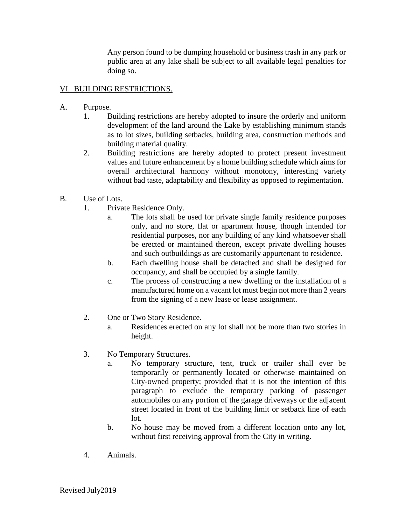Any person found to be dumping household or business trash in any park or public area at any lake shall be subject to all available legal penalties for doing so.

### VI. BUILDING RESTRICTIONS.

- A. Purpose.
	- 1. Building restrictions are hereby adopted to insure the orderly and uniform development of the land around the Lake by establishing minimum stands as to lot sizes, building setbacks, building area, construction methods and building material quality.
	- 2. Building restrictions are hereby adopted to protect present investment values and future enhancement by a home building schedule which aims for overall architectural harmony without monotony, interesting variety without bad taste, adaptability and flexibility as opposed to regimentation.
- B. Use of Lots.
	- 1. Private Residence Only.
		- a. The lots shall be used for private single family residence purposes only, and no store, flat or apartment house, though intended for residential purposes, nor any building of any kind whatsoever shall be erected or maintained thereon, except private dwelling houses and such outbuildings as are customarily appurtenant to residence.
		- b. Each dwelling house shall be detached and shall be designed for occupancy, and shall be occupied by a single family.
		- c. The process of constructing a new dwelling or the installation of a manufactured home on a vacant lot must begin not more than 2 years from the signing of a new lease or lease assignment.
	- 2. One or Two Story Residence.
		- a. Residences erected on any lot shall not be more than two stories in height.
	- 3. No Temporary Structures.
		- a. No temporary structure, tent, truck or trailer shall ever be temporarily or permanently located or otherwise maintained on City-owned property; provided that it is not the intention of this paragraph to exclude the temporary parking of passenger automobiles on any portion of the garage driveways or the adjacent street located in front of the building limit or setback line of each lot.
		- b. No house may be moved from a different location onto any lot, without first receiving approval from the City in writing.
	- 4. Animals.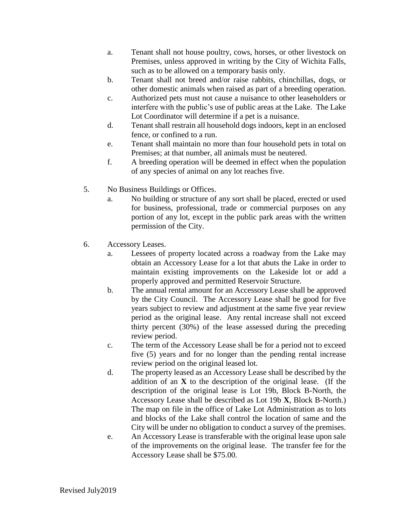- a. Tenant shall not house poultry, cows, horses, or other livestock on Premises, unless approved in writing by the City of Wichita Falls, such as to be allowed on a temporary basis only.
- b. Tenant shall not breed and/or raise rabbits, chinchillas, dogs, or other domestic animals when raised as part of a breeding operation.
- c. Authorized pets must not cause a nuisance to other leaseholders or interfere with the public's use of public areas at the Lake. The Lake Lot Coordinator will determine if a pet is a nuisance.
- d. Tenant shall restrain all household dogs indoors, kept in an enclosed fence, or confined to a run.
- e. Tenant shall maintain no more than four household pets in total on Premises; at that number, all animals must be neutered.
- f. A breeding operation will be deemed in effect when the population of any species of animal on any lot reaches five.
- 5. No Business Buildings or Offices.
	- a. No building or structure of any sort shall be placed, erected or used for business, professional, trade or commercial purposes on any portion of any lot, except in the public park areas with the written permission of the City.
- 6. Accessory Leases.
	- a. Lessees of property located across a roadway from the Lake may obtain an Accessory Lease for a lot that abuts the Lake in order to maintain existing improvements on the Lakeside lot or add a properly approved and permitted Reservoir Structure.
	- b. The annual rental amount for an Accessory Lease shall be approved by the City Council. The Accessory Lease shall be good for five years subject to review and adjustment at the same five year review period as the original lease. Any rental increase shall not exceed thirty percent (30%) of the lease assessed during the preceding review period.
	- c. The term of the Accessory Lease shall be for a period not to exceed five (5) years and for no longer than the pending rental increase review period on the original leased lot.
	- d. The property leased as an Accessory Lease shall be described by the addition of an **X** to the description of the original lease. (If the description of the original lease is Lot 19b, Block B-North, the Accessory Lease shall be described as Lot 19b **X**, Block B-North.) The map on file in the office of Lake Lot Administration as to lots and blocks of the Lake shall control the location of same and the City will be under no obligation to conduct a survey of the premises.
	- e. An Accessory Lease is transferable with the original lease upon sale of the improvements on the original lease. The transfer fee for the Accessory Lease shall be \$75.00.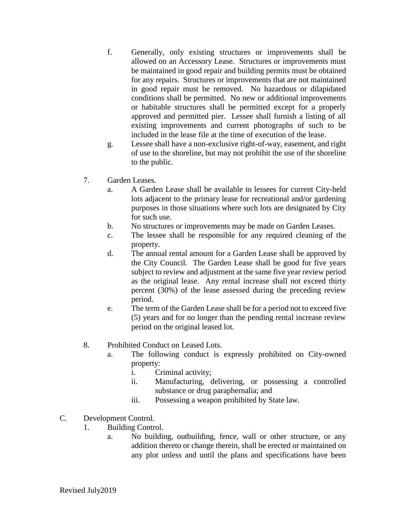- f. Generally, only existing structures or improvements shall be allowed on an Accessory Lease. Structures or improvements must be maintained in good repair and building permits must be obtained for any repairs. Structures or improvements that are not maintained in good repair must be removed. No hazardous or dilapidated conditions shall be permitted. No new or additional improvements or habitable structures shall be permitted except for a properly approved and permitted pier. Lessee shall furnish a listing of all existing improvements and current photographs of such to be included in the lease file at the time of execution of the lease.
- g. Lessee shall have a non-exclusive right-of-way, easement, and right of use to the shoreline, but may not prohibit the use of the shoreline to the public.
- 7. Garden Leases.
	- a. A Garden Lease shall be available to lessees for current City-held lots adjacent to the primary lease for recreational and/or gardening purposes in those situations where such lots are designated by City for such use.
	- b. No structures or improvements may be made on Garden Leases.
	- c. The lessee shall be responsible for any required cleaning of the property.
	- d. The annual rental amount for a Garden Lease shall be approved by the City Council. The Garden Lease shall be good for five years subject to review and adjustment at the same five year review period as the original lease. Any rental increase shall not exceed thirty percent (30%) of the lease assessed during the preceding review period.
	- e. The term of the Garden Lease shall be for a period not to exceed five (5) years and for no longer than the pending rental increase review period on the original leased lot.
- 8. Prohibited Conduct on Leased Lots.
	- a. The following conduct is expressly prohibited on City-owned property:
		- i. Criminal activity;
		- ii. Manufacturing, delivering, or possessing a controlled substance or drug paraphernalia; and
		- iii. Possessing a weapon prohibited by State law.
- C. Development Control.
	- 1. Building Control.
		- a. No building, outbuilding, fence, wall or other structure, or any addition thereto or change therein, shall be erected or maintained on any plot unless and until the plans and specifications have been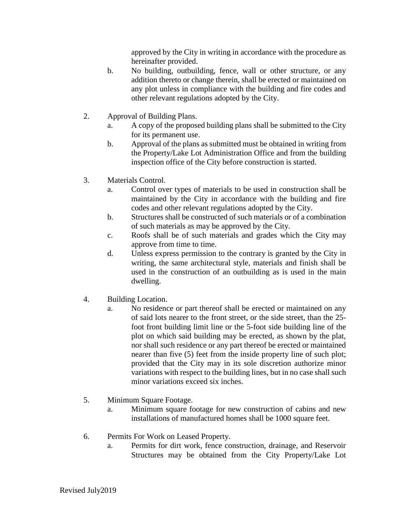approved by the City in writing in accordance with the procedure as hereinafter provided.

- b. No building, outbuilding, fence, wall or other structure, or any addition thereto or change therein, shall be erected or maintained on any plot unless in compliance with the building and fire codes and other relevant regulations adopted by the City.
- 2. Approval of Building Plans.
	- a. A copy of the proposed building plans shall be submitted to the City for its permanent use.
	- b. Approval of the plans as submitted must be obtained in writing from the Property/Lake Lot Administration Office and from the building inspection office of the City before construction is started.
- 3. Materials Control.
	- a. Control over types of materials to be used in construction shall be maintained by the City in accordance with the building and fire codes and other relevant regulations adopted by the City.
	- b. Structures shall be constructed of such materials or of a combination of such materials as may be approved by the City.
	- c. Roofs shall be of such materials and grades which the City may approve from time to time.
	- d. Unless express permission to the contrary is granted by the City in writing, the same architectural style, materials and finish shall be used in the construction of an outbuilding as is used in the main dwelling.
- 4. Building Location.
	- a. No residence or part thereof shall be erected or maintained on any of said lots nearer to the front street, or the side street, than the 25 foot front building limit line or the 5-foot side building line of the plot on which said building may be erected, as shown by the plat, nor shall such residence or any part thereof be erected or maintained nearer than five (5) feet from the inside property line of such plot; provided that the City may in its sole discretion authorize minor variations with respect to the building lines, but in no case shall such minor variations exceed six inches.
- 5. Minimum Square Footage.
	- a. Minimum square footage for new construction of cabins and new installations of manufactured homes shall be 1000 square feet.
- 6. Permits For Work on Leased Property.
	- a. Permits for dirt work, fence construction, drainage, and Reservoir Structures may be obtained from the City Property/Lake Lot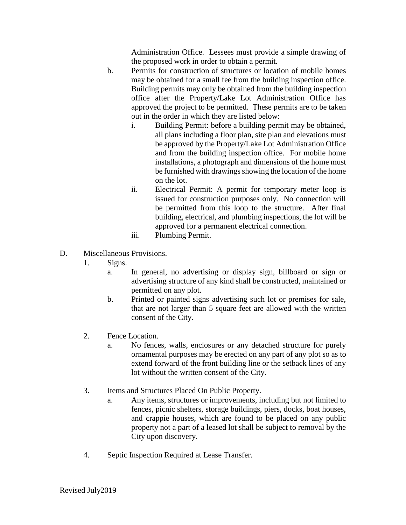Administration Office. Lessees must provide a simple drawing of the proposed work in order to obtain a permit.

- b. Permits for construction of structures or location of mobile homes may be obtained for a small fee from the building inspection office. Building permits may only be obtained from the building inspection office after the Property/Lake Lot Administration Office has approved the project to be permitted. These permits are to be taken out in the order in which they are listed below:
	- i. Building Permit: before a building permit may be obtained, all plans including a floor plan, site plan and elevations must be approved by the Property/Lake Lot Administration Office and from the building inspection office. For mobile home installations, a photograph and dimensions of the home must be furnished with drawings showing the location of the home on the lot.
	- ii. Electrical Permit: A permit for temporary meter loop is issued for construction purposes only. No connection will be permitted from this loop to the structure. After final building, electrical, and plumbing inspections, the lot will be approved for a permanent electrical connection.
	- iii. Plumbing Permit.
- D. Miscellaneous Provisions.
	- 1. Signs.
		- a. In general, no advertising or display sign, billboard or sign or advertising structure of any kind shall be constructed, maintained or permitted on any plot.
		- b. Printed or painted signs advertising such lot or premises for sale, that are not larger than 5 square feet are allowed with the written consent of the City.
	- 2. Fence Location.
		- a. No fences, walls, enclosures or any detached structure for purely ornamental purposes may be erected on any part of any plot so as to extend forward of the front building line or the setback lines of any lot without the written consent of the City.
	- 3. Items and Structures Placed On Public Property.
		- a. Any items, structures or improvements, including but not limited to fences, picnic shelters, storage buildings, piers, docks, boat houses, and crappie houses, which are found to be placed on any public property not a part of a leased lot shall be subject to removal by the City upon discovery.
	- 4. Septic Inspection Required at Lease Transfer.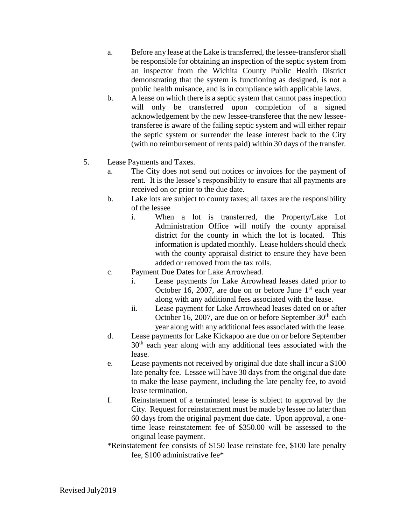- a. Before any lease at the Lake is transferred, the lessee-transferor shall be responsible for obtaining an inspection of the septic system from an inspector from the Wichita County Public Health District demonstrating that the system is functioning as designed, is not a public health nuisance, and is in compliance with applicable laws.
- b. A lease on which there is a septic system that cannot pass inspection will only be transferred upon completion of a signed acknowledgement by the new lessee-transferee that the new lesseetransferee is aware of the failing septic system and will either repair the septic system or surrender the lease interest back to the City (with no reimbursement of rents paid) within 30 days of the transfer.
- 5. Lease Payments and Taxes.
	- a. The City does not send out notices or invoices for the payment of rent. It is the lessee's responsibility to ensure that all payments are received on or prior to the due date.
	- b. Lake lots are subject to county taxes; all taxes are the responsibility of the lessee
		- i. When a lot is transferred, the Property/Lake Lot Administration Office will notify the county appraisal district for the county in which the lot is located. This information is updated monthly. Lease holders should check with the county appraisal district to ensure they have been added or removed from the tax rolls.
	- c. Payment Due Dates for Lake Arrowhead.
		- i. Lease payments for Lake Arrowhead leases dated prior to October 16, 2007, are due on or before June  $1<sup>st</sup>$  each year along with any additional fees associated with the lease.
		- ii. Lease payment for Lake Arrowhead leases dated on or after October 16, 2007, are due on or before September  $30<sup>th</sup>$  each year along with any additional fees associated with the lease.
	- d. Lease payments for Lake Kickapoo are due on or before September 30<sup>th</sup> each year along with any additional fees associated with the lease.
	- e. Lease payments not received by original due date shall incur a \$100 late penalty fee. Lessee will have 30 days from the original due date to make the lease payment, including the late penalty fee, to avoid lease termination.
	- f. Reinstatement of a terminated lease is subject to approval by the City. Request for reinstatement must be made by lessee no later than 60 days from the original payment due date. Upon approval, a onetime lease reinstatement fee of \$350.00 will be assessed to the original lease payment.
	- \*Reinstatement fee consists of \$150 lease reinstate fee, \$100 late penalty fee, \$100 administrative fee\*